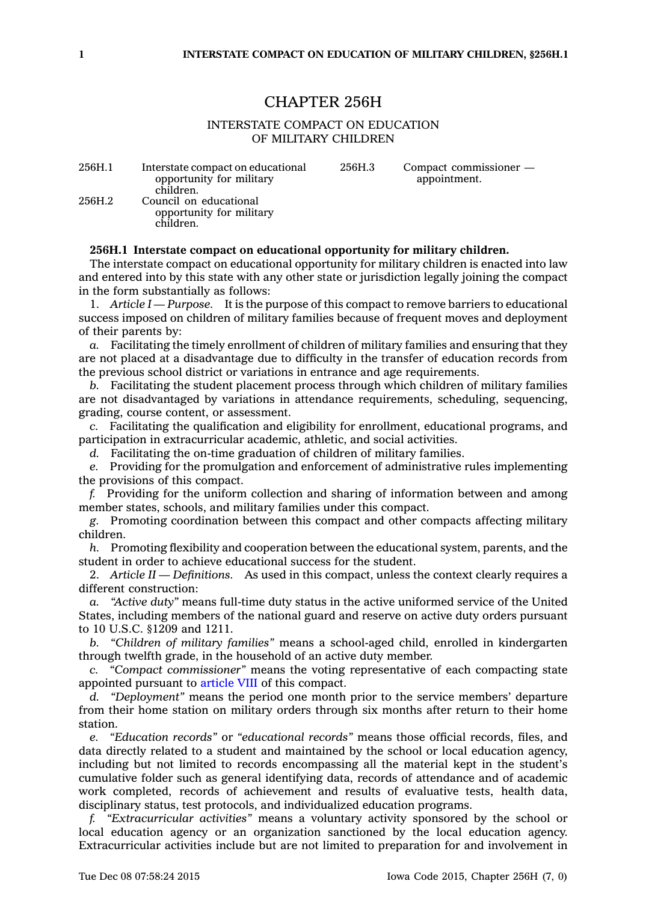# CHAPTER 256H

# INTERSTATE COMPACT ON EDUCATION OF MILITARY CHILDREN

| 256H.1 | Interstate compact on educational<br>opportunity for military<br>children. | 256H.3 | Compact commissioner —<br>appointment. |
|--------|----------------------------------------------------------------------------|--------|----------------------------------------|
| 256H.2 | Council on educational<br>opportunity for military<br>children.            |        |                                        |

#### **256H.1 Interstate compact on educational opportunity for military children.**

The interstate compact on educational opportunity for military children is enacted into law and entered into by this state with any other state or jurisdiction legally joining the compact in the form substantially as follows:

1. *Article I —Purpose.* It is the purpose of this compact to remove barriers to educational success imposed on children of military families because of frequent moves and deployment of their parents by:

*a.* Facilitating the timely enrollment of children of military families and ensuring that they are not placed at <sup>a</sup> disadvantage due to difficulty in the transfer of education records from the previous school district or variations in entrance and age requirements.

*b.* Facilitating the student placement process through which children of military families are not disadvantaged by variations in attendance requirements, scheduling, sequencing, grading, course content, or assessment.

*c.* Facilitating the qualification and eligibility for enrollment, educational programs, and participation in extracurricular academic, athletic, and social activities.

*d.* Facilitating the on-time graduation of children of military families.

*e.* Providing for the promulgation and enforcement of administrative rules implementing the provisions of this compact.

*f.* Providing for the uniform collection and sharing of information between and among member states, schools, and military families under this compact.

*g.* Promoting coordination between this compact and other compacts affecting military children.

*h.* Promoting flexibility and cooperation between the educational system, parents, and the student in order to achieve educational success for the student.

2. *Article II —Definitions.* As used in this compact, unless the context clearly requires <sup>a</sup> different construction:

*a. "Active duty"* means full-time duty status in the active uniformed service of the United States, including members of the national guard and reserve on active duty orders pursuant to 10 U.S.C. §1209 and 1211.

*b. "Children of military families"* means <sup>a</sup> school-aged child, enrolled in kindergarten through twelfth grade, in the household of an active duty member.

*c. "Compact commissioner"* means the voting representative of each compacting state appointed pursuant to article VIII of this compact.

*d. "Deployment"* means the period one month prior to the service members' departure from their home station on military orders through six months after return to their home station.

*e. "Education records"* or *"educational records"* means those official records, files, and data directly related to <sup>a</sup> student and maintained by the school or local education agency, including but not limited to records encompassing all the material kept in the student's cumulative folder such as general identifying data, records of attendance and of academic work completed, records of achievement and results of evaluative tests, health data, disciplinary status, test protocols, and individualized education programs.

*f. "Extracurricular activities"* means <sup>a</sup> voluntary activity sponsored by the school or local education agency or an organization sanctioned by the local education agency. Extracurricular activities include but are not limited to preparation for and involvement in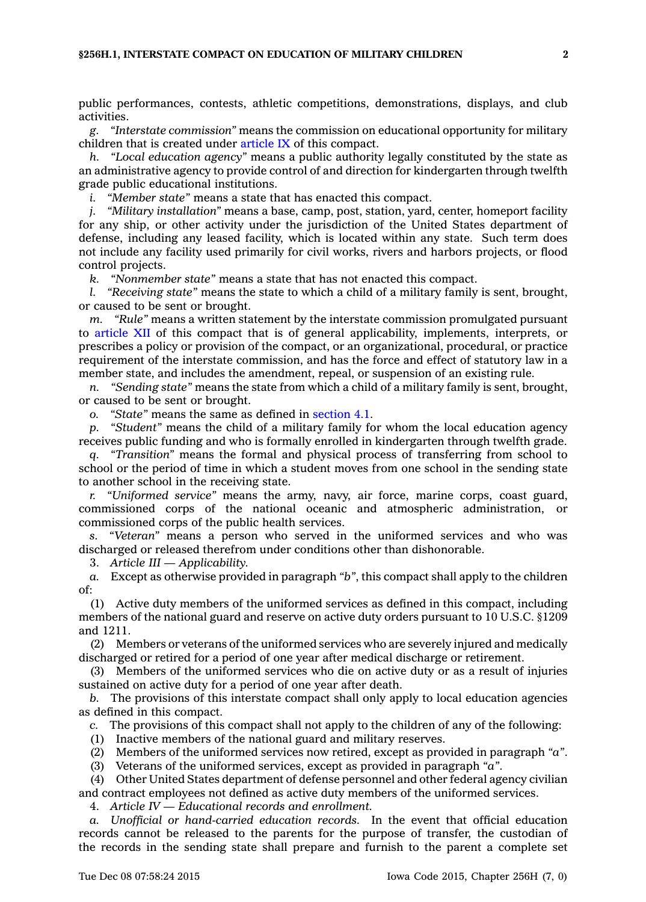public performances, contests, athletic competitions, demonstrations, displays, and club activities.

*g. "Interstate commission"* means the commission on educational opportunity for military children that is created under article IX of this compact.

*h. "Local education agency"* means <sup>a</sup> public authority legally constituted by the state as an administrative agency to provide control of and direction for kindergarten through twelfth grade public educational institutions.

*i. "Member state"* means <sup>a</sup> state that has enacted this compact.

*j. "Military installation"* means <sup>a</sup> base, camp, post, station, yard, center, homeport facility for any ship, or other activity under the jurisdiction of the United States department of defense, including any leased facility, which is located within any state. Such term does not include any facility used primarily for civil works, rivers and harbors projects, or flood control projects.

*k. "Nonmember state"* means <sup>a</sup> state that has not enacted this compact.

*l. "Receiving state"* means the state to which <sup>a</sup> child of <sup>a</sup> military family is sent, brought, or caused to be sent or brought.

*m. "Rule"* means <sup>a</sup> written statement by the interstate commission promulgated pursuant to article XII of this compact that is of general applicability, implements, interprets, or prescribes <sup>a</sup> policy or provision of the compact, or an organizational, procedural, or practice requirement of the interstate commission, and has the force and effect of statutory law in <sup>a</sup> member state, and includes the amendment, repeal, or suspension of an existing rule.

*n. "Sending state"* means the state from which <sup>a</sup> child of <sup>a</sup> military family is sent, brought, or caused to be sent or brought.

*o. "State"* means the same as defined in [section](https://www.legis.iowa.gov/docs/code//4.1.pdf) 4.1.

*p. "Student"* means the child of <sup>a</sup> military family for whom the local education agency receives public funding and who is formally enrolled in kindergarten through twelfth grade.

*q. "Transition"* means the formal and physical process of transferring from school to school or the period of time in which <sup>a</sup> student moves from one school in the sending state to another school in the receiving state.

*r. "Uniformed service"* means the army, navy, air force, marine corps, coast guard, commissioned corps of the national oceanic and atmospheric administration, or commissioned corps of the public health services.

*s. "Veteran"* means <sup>a</sup> person who served in the uniformed services and who was discharged or released therefrom under conditions other than dishonorable.

3. *Article III —Applicability.*

*a.* Except as otherwise provided in paragraph *"b"*, this compact shall apply to the children of:

(1) Active duty members of the uniformed services as defined in this compact, including members of the national guard and reserve on active duty orders pursuant to 10 U.S.C. §1209 and 1211.

(2) Members or veterans of the uniformed services who are severely injured and medically discharged or retired for <sup>a</sup> period of one year after medical discharge or retirement.

(3) Members of the uniformed services who die on active duty or as <sup>a</sup> result of injuries sustained on active duty for <sup>a</sup> period of one year after death.

*b.* The provisions of this interstate compact shall only apply to local education agencies as defined in this compact.

*c.* The provisions of this compact shall not apply to the children of any of the following:

(1) Inactive members of the national guard and military reserves.

(2) Members of the uniformed services now retired, except as provided in paragraph *"a"*.

(3) Veterans of the uniformed services, except as provided in paragraph *"a"*.

(4) Other United States department of defense personnel and other federal agency civilian and contract employees not defined as active duty members of the uniformed services.

4. *Article IV — Educational records and enrollment.*

*a. Unofficial or hand-carried education records.* In the event that official education records cannot be released to the parents for the purpose of transfer, the custodian of the records in the sending state shall prepare and furnish to the parent <sup>a</sup> complete set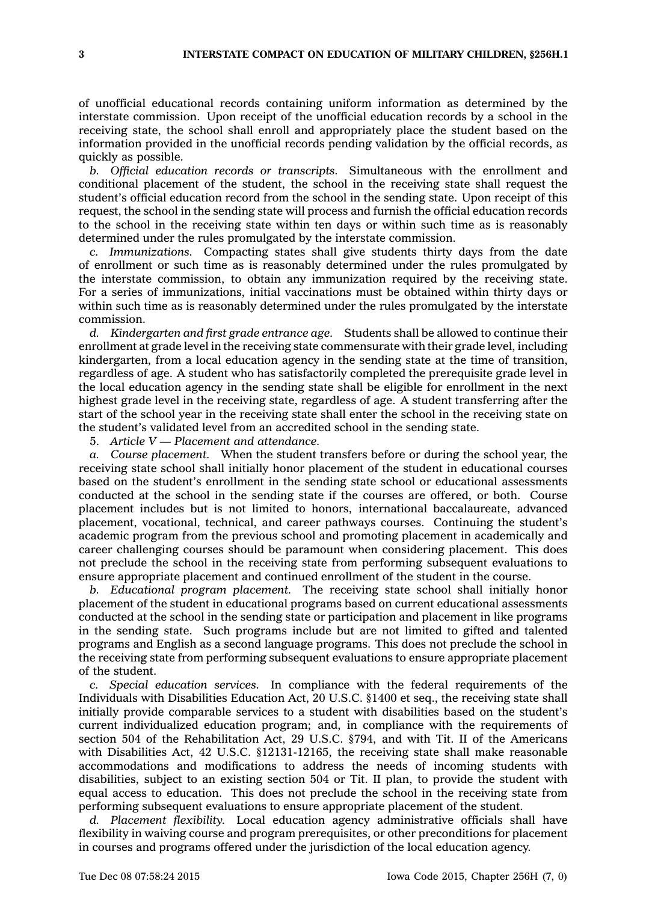of unofficial educational records containing uniform information as determined by the interstate commission. Upon receipt of the unofficial education records by <sup>a</sup> school in the receiving state, the school shall enroll and appropriately place the student based on the information provided in the unofficial records pending validation by the official records, as quickly as possible.

*b. Official education records or transcripts.* Simultaneous with the enrollment and conditional placement of the student, the school in the receiving state shall request the student's official education record from the school in the sending state. Upon receipt of this request, the school in the sending state will process and furnish the official education records to the school in the receiving state within ten days or within such time as is reasonably determined under the rules promulgated by the interstate commission.

*c. Immunizations.* Compacting states shall give students thirty days from the date of enrollment or such time as is reasonably determined under the rules promulgated by the interstate commission, to obtain any immunization required by the receiving state. For <sup>a</sup> series of immunizations, initial vaccinations must be obtained within thirty days or within such time as is reasonably determined under the rules promulgated by the interstate commission.

*d. Kindergarten and first grade entrance age.* Students shall be allowed to continue their enrollment at grade level in the receiving state commensurate with their grade level, including kindergarten, from <sup>a</sup> local education agency in the sending state at the time of transition, regardless of age. A student who has satisfactorily completed the prerequisite grade level in the local education agency in the sending state shall be eligible for enrollment in the next highest grade level in the receiving state, regardless of age. A student transferring after the start of the school year in the receiving state shall enter the school in the receiving state on the student's validated level from an accredited school in the sending state.

5. *Article V — Placement and attendance.*

*a. Course placement.* When the student transfers before or during the school year, the receiving state school shall initially honor placement of the student in educational courses based on the student's enrollment in the sending state school or educational assessments conducted at the school in the sending state if the courses are offered, or both. Course placement includes but is not limited to honors, international baccalaureate, advanced placement, vocational, technical, and career pathways courses. Continuing the student's academic program from the previous school and promoting placement in academically and career challenging courses should be paramount when considering placement. This does not preclude the school in the receiving state from performing subsequent evaluations to ensure appropriate placement and continued enrollment of the student in the course.

*b. Educational program placement.* The receiving state school shall initially honor placement of the student in educational programs based on current educational assessments conducted at the school in the sending state or participation and placement in like programs in the sending state. Such programs include but are not limited to gifted and talented programs and English as <sup>a</sup> second language programs. This does not preclude the school in the receiving state from performing subsequent evaluations to ensure appropriate placement of the student.

*c. Special education services.* In compliance with the federal requirements of the Individuals with Disabilities Education Act, 20 U.S.C. §1400 et seq., the receiving state shall initially provide comparable services to <sup>a</sup> student with disabilities based on the student's current individualized education program; and, in compliance with the requirements of section 504 of the Rehabilitation Act, 29 U.S.C. §794, and with Tit. II of the Americans with Disabilities Act, 42 U.S.C. §12131-12165, the receiving state shall make reasonable accommodations and modifications to address the needs of incoming students with disabilities, subject to an existing section 504 or Tit. II plan, to provide the student with equal access to education. This does not preclude the school in the receiving state from performing subsequent evaluations to ensure appropriate placement of the student.

*d. Placement flexibility.* Local education agency administrative officials shall have flexibility in waiving course and program prerequisites, or other preconditions for placement in courses and programs offered under the jurisdiction of the local education agency.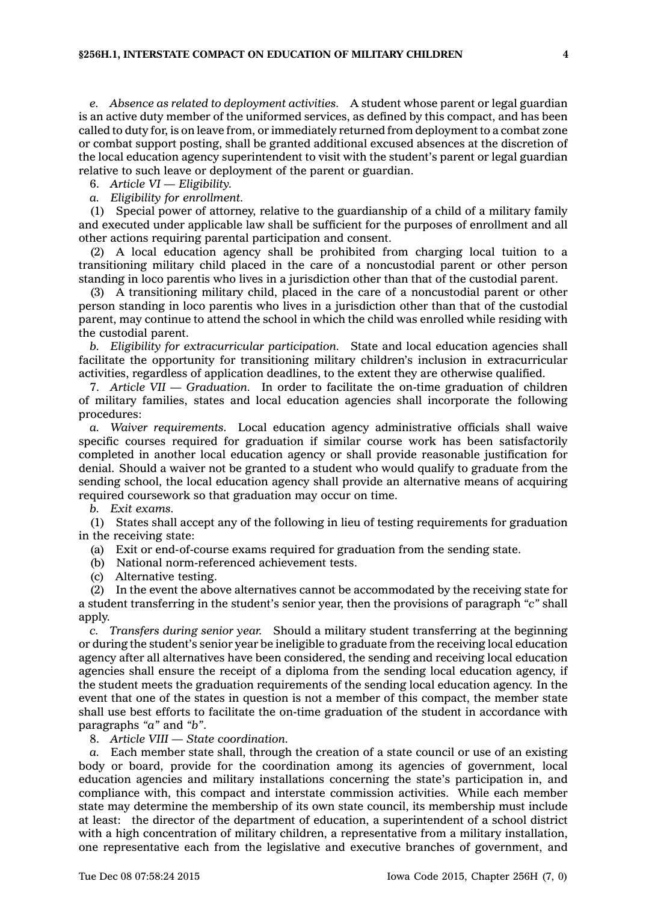*e. Absence as related to deployment activities.* A student whose parent or legal guardian is an active duty member of the uniformed services, as defined by this compact, and has been called to duty for, is on leave from, or immediately returned from deployment to <sup>a</sup> combat zone or combat support posting, shall be granted additional excused absences at the discretion of the local education agency superintendent to visit with the student's parent or legal guardian relative to such leave or deployment of the parent or guardian.

6. *Article VI — Eligibility.*

*a. Eligibility for enrollment.*

(1) Special power of attorney, relative to the guardianship of <sup>a</sup> child of <sup>a</sup> military family and executed under applicable law shall be sufficient for the purposes of enrollment and all other actions requiring parental participation and consent.

(2) A local education agency shall be prohibited from charging local tuition to <sup>a</sup> transitioning military child placed in the care of <sup>a</sup> noncustodial parent or other person standing in loco parentis who lives in <sup>a</sup> jurisdiction other than that of the custodial parent.

(3) A transitioning military child, placed in the care of <sup>a</sup> noncustodial parent or other person standing in loco parentis who lives in <sup>a</sup> jurisdiction other than that of the custodial parent, may continue to attend the school in which the child was enrolled while residing with the custodial parent.

*b. Eligibility for extracurricular participation.* State and local education agencies shall facilitate the opportunity for transitioning military children's inclusion in extracurricular activities, regardless of application deadlines, to the extent they are otherwise qualified.

7. *Article VII — Graduation.* In order to facilitate the on-time graduation of children of military families, states and local education agencies shall incorporate the following procedures:

*a. Waiver requirements.* Local education agency administrative officials shall waive specific courses required for graduation if similar course work has been satisfactorily completed in another local education agency or shall provide reasonable justification for denial. Should <sup>a</sup> waiver not be granted to <sup>a</sup> student who would qualify to graduate from the sending school, the local education agency shall provide an alternative means of acquiring required coursework so that graduation may occur on time.

*b. Exit exams.*

(1) States shall accept any of the following in lieu of testing requirements for graduation in the receiving state:

(a) Exit or end-of-course exams required for graduation from the sending state.

(b) National norm-referenced achievement tests.

(c) Alternative testing.

(2) In the event the above alternatives cannot be accommodated by the receiving state for <sup>a</sup> student transferring in the student's senior year, then the provisions of paragraph *"c"* shall apply.

*c. Transfers during senior year.* Should <sup>a</sup> military student transferring at the beginning or during the student's senior year be ineligible to graduate from the receiving local education agency after all alternatives have been considered, the sending and receiving local education agencies shall ensure the receipt of <sup>a</sup> diploma from the sending local education agency, if the student meets the graduation requirements of the sending local education agency. In the event that one of the states in question is not <sup>a</sup> member of this compact, the member state shall use best efforts to facilitate the on-time graduation of the student in accordance with paragraphs *"a"* and *"b"*.

8. *Article VIII —State coordination.*

*a.* Each member state shall, through the creation of <sup>a</sup> state council or use of an existing body or board, provide for the coordination among its agencies of government, local education agencies and military installations concerning the state's participation in, and compliance with, this compact and interstate commission activities. While each member state may determine the membership of its own state council, its membership must include at least: the director of the department of education, <sup>a</sup> superintendent of <sup>a</sup> school district with <sup>a</sup> high concentration of military children, <sup>a</sup> representative from <sup>a</sup> military installation, one representative each from the legislative and executive branches of government, and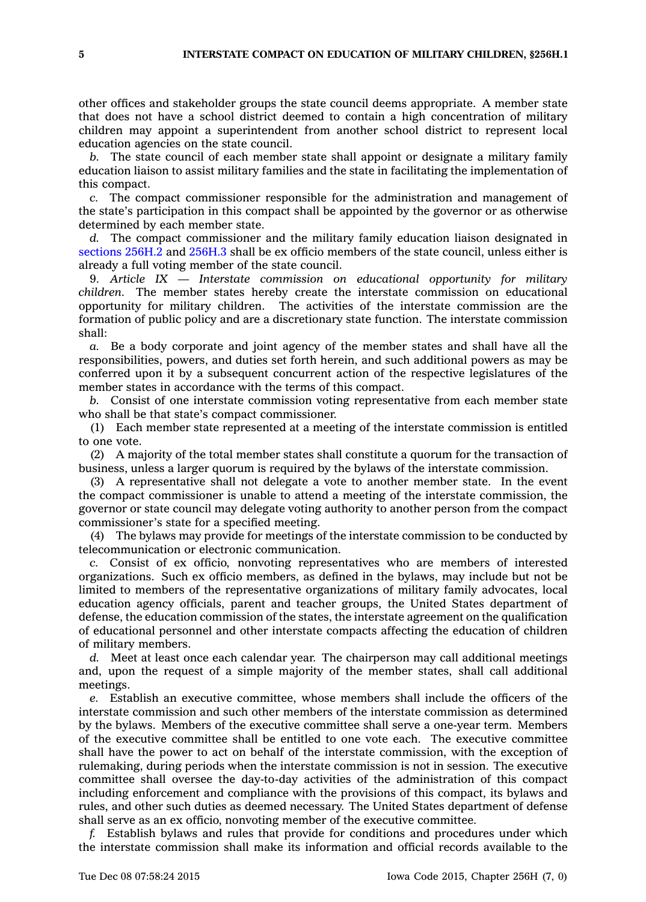other offices and stakeholder groups the state council deems appropriate. A member state that does not have <sup>a</sup> school district deemed to contain <sup>a</sup> high concentration of military children may appoint <sup>a</sup> superintendent from another school district to represent local education agencies on the state council.

*b.* The state council of each member state shall appoint or designate <sup>a</sup> military family education liaison to assist military families and the state in facilitating the implementation of this compact.

*c.* The compact commissioner responsible for the administration and management of the state's participation in this compact shall be appointed by the governor or as otherwise determined by each member state.

*d.* The compact commissioner and the military family education liaison designated in [sections](https://www.legis.iowa.gov/docs/code//256H.2.pdf) 256H.2 and [256H.3](https://www.legis.iowa.gov/docs/code//256H.3.pdf) shall be ex officio members of the state council, unless either is already <sup>a</sup> full voting member of the state council.

9. *Article IX — Interstate commission on educational opportunity for military children.* The member states hereby create the interstate commission on educational opportunity for military children. The activities of the interstate commission are the formation of public policy and are <sup>a</sup> discretionary state function. The interstate commission shall:

*a.* Be <sup>a</sup> body corporate and joint agency of the member states and shall have all the responsibilities, powers, and duties set forth herein, and such additional powers as may be conferred upon it by <sup>a</sup> subsequent concurrent action of the respective legislatures of the member states in accordance with the terms of this compact.

*b.* Consist of one interstate commission voting representative from each member state who shall be that state's compact commissioner.

(1) Each member state represented at <sup>a</sup> meeting of the interstate commission is entitled to one vote.

(2) A majority of the total member states shall constitute <sup>a</sup> quorum for the transaction of business, unless <sup>a</sup> larger quorum is required by the bylaws of the interstate commission.

(3) A representative shall not delegate <sup>a</sup> vote to another member state. In the event the compact commissioner is unable to attend <sup>a</sup> meeting of the interstate commission, the governor or state council may delegate voting authority to another person from the compact commissioner's state for <sup>a</sup> specified meeting.

(4) The bylaws may provide for meetings of the interstate commission to be conducted by telecommunication or electronic communication.

*c.* Consist of ex officio, nonvoting representatives who are members of interested organizations. Such ex officio members, as defined in the bylaws, may include but not be limited to members of the representative organizations of military family advocates, local education agency officials, parent and teacher groups, the United States department of defense, the education commission of the states, the interstate agreement on the qualification of educational personnel and other interstate compacts affecting the education of children of military members.

*d.* Meet at least once each calendar year. The chairperson may call additional meetings and, upon the request of <sup>a</sup> simple majority of the member states, shall call additional meetings.

*e.* Establish an executive committee, whose members shall include the officers of the interstate commission and such other members of the interstate commission as determined by the bylaws. Members of the executive committee shall serve <sup>a</sup> one-year term. Members of the executive committee shall be entitled to one vote each. The executive committee shall have the power to act on behalf of the interstate commission, with the exception of rulemaking, during periods when the interstate commission is not in session. The executive committee shall oversee the day-to-day activities of the administration of this compact including enforcement and compliance with the provisions of this compact, its bylaws and rules, and other such duties as deemed necessary. The United States department of defense shall serve as an ex officio, nonvoting member of the executive committee.

*f.* Establish bylaws and rules that provide for conditions and procedures under which the interstate commission shall make its information and official records available to the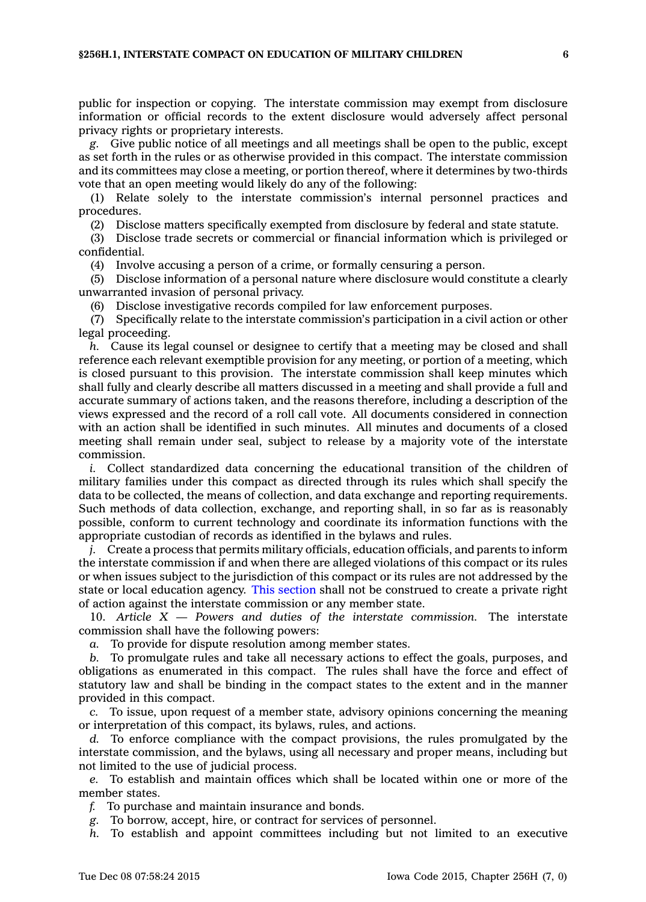public for inspection or copying. The interstate commission may exempt from disclosure information or official records to the extent disclosure would adversely affect personal privacy rights or proprietary interests.

*g.* Give public notice of all meetings and all meetings shall be open to the public, except as set forth in the rules or as otherwise provided in this compact. The interstate commission and its committees may close <sup>a</sup> meeting, or portion thereof, where it determines by two-thirds vote that an open meeting would likely do any of the following:

(1) Relate solely to the interstate commission's internal personnel practices and procedures.

(2) Disclose matters specifically exempted from disclosure by federal and state statute.

(3) Disclose trade secrets or commercial or financial information which is privileged or confidential.

(4) Involve accusing <sup>a</sup> person of <sup>a</sup> crime, or formally censuring <sup>a</sup> person.

(5) Disclose information of <sup>a</sup> personal nature where disclosure would constitute <sup>a</sup> clearly unwarranted invasion of personal privacy.

(6) Disclose investigative records compiled for law enforcement purposes.

(7) Specifically relate to the interstate commission's participation in <sup>a</sup> civil action or other legal proceeding.

*h.* Cause its legal counsel or designee to certify that <sup>a</sup> meeting may be closed and shall reference each relevant exemptible provision for any meeting, or portion of <sup>a</sup> meeting, which is closed pursuant to this provision. The interstate commission shall keep minutes which shall fully and clearly describe all matters discussed in <sup>a</sup> meeting and shall provide <sup>a</sup> full and accurate summary of actions taken, and the reasons therefore, including <sup>a</sup> description of the views expressed and the record of <sup>a</sup> roll call vote. All documents considered in connection with an action shall be identified in such minutes. All minutes and documents of <sup>a</sup> closed meeting shall remain under seal, subject to release by <sup>a</sup> majority vote of the interstate commission.

*i.* Collect standardized data concerning the educational transition of the children of military families under this compact as directed through its rules which shall specify the data to be collected, the means of collection, and data exchange and reporting requirements. Such methods of data collection, exchange, and reporting shall, in so far as is reasonably possible, conform to current technology and coordinate its information functions with the appropriate custodian of records as identified in the bylaws and rules.

*j.* Create <sup>a</sup> process that permits military officials, education officials, and parents to inform the interstate commission if and when there are alleged violations of this compact or its rules or when issues subject to the jurisdiction of this compact or its rules are not addressed by the state or local education agency. This [section](https://www.legis.iowa.gov/docs/code//256H.1.pdf) shall not be construed to create <sup>a</sup> private right of action against the interstate commission or any member state.

10. *Article X — Powers and duties of the interstate commission.* The interstate commission shall have the following powers:

*a.* To provide for dispute resolution among member states.

*b.* To promulgate rules and take all necessary actions to effect the goals, purposes, and obligations as enumerated in this compact. The rules shall have the force and effect of statutory law and shall be binding in the compact states to the extent and in the manner provided in this compact.

*c.* To issue, upon request of <sup>a</sup> member state, advisory opinions concerning the meaning or interpretation of this compact, its bylaws, rules, and actions.

*d.* To enforce compliance with the compact provisions, the rules promulgated by the interstate commission, and the bylaws, using all necessary and proper means, including but not limited to the use of judicial process.

*e.* To establish and maintain offices which shall be located within one or more of the member states.

*f.* To purchase and maintain insurance and bonds.

*g.* To borrow, accept, hire, or contract for services of personnel.

*h.* To establish and appoint committees including but not limited to an executive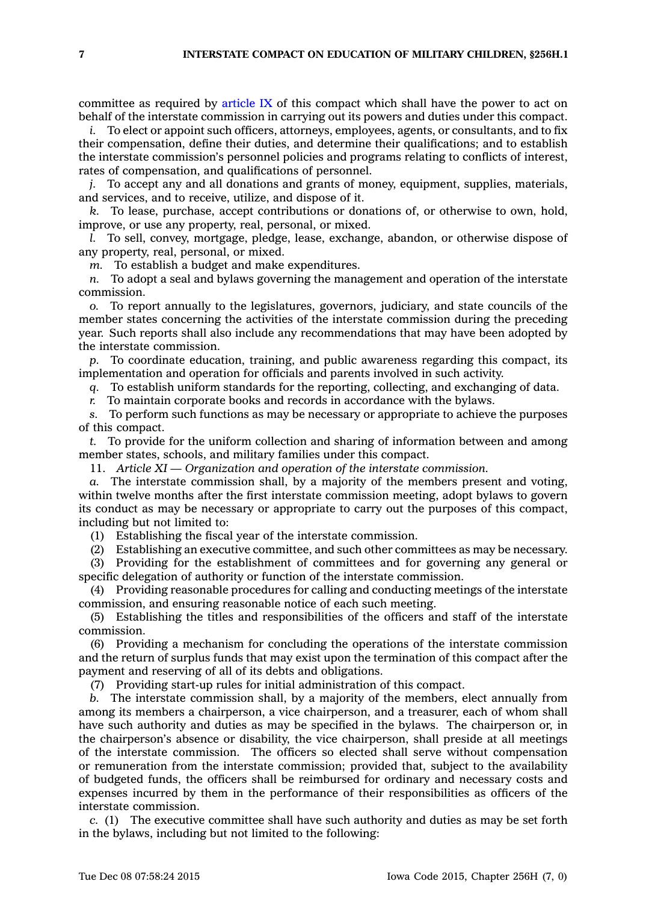committee as required by article IX of this compact which shall have the power to act on behalf of the interstate commission in carrying out its powers and duties under this compact.

*i.* To elect or appoint such officers, attorneys, employees, agents, or consultants, and to fix their compensation, define their duties, and determine their qualifications; and to establish the interstate commission's personnel policies and programs relating to conflicts of interest, rates of compensation, and qualifications of personnel.

*j.* To accept any and all donations and grants of money, equipment, supplies, materials, and services, and to receive, utilize, and dispose of it.

*k.* To lease, purchase, accept contributions or donations of, or otherwise to own, hold, improve, or use any property, real, personal, or mixed.

*l.* To sell, convey, mortgage, pledge, lease, exchange, abandon, or otherwise dispose of any property, real, personal, or mixed.

*m.* To establish <sup>a</sup> budget and make expenditures.

*n.* To adopt <sup>a</sup> seal and bylaws governing the management and operation of the interstate commission.

*o.* To report annually to the legislatures, governors, judiciary, and state councils of the member states concerning the activities of the interstate commission during the preceding year. Such reports shall also include any recommendations that may have been adopted by the interstate commission.

*p.* To coordinate education, training, and public awareness regarding this compact, its implementation and operation for officials and parents involved in such activity.

*q.* To establish uniform standards for the reporting, collecting, and exchanging of data.

*r.* To maintain corporate books and records in accordance with the bylaws.

*s.* To perform such functions as may be necessary or appropriate to achieve the purposes of this compact.

*t.* To provide for the uniform collection and sharing of information between and among member states, schools, and military families under this compact.

11. *Article XI —Organization and operation of the interstate commission.*

*a.* The interstate commission shall, by <sup>a</sup> majority of the members present and voting, within twelve months after the first interstate commission meeting, adopt bylaws to govern its conduct as may be necessary or appropriate to carry out the purposes of this compact, including but not limited to:

(1) Establishing the fiscal year of the interstate commission.

(2) Establishing an executive committee, and such other committees as may be necessary.

(3) Providing for the establishment of committees and for governing any general or specific delegation of authority or function of the interstate commission.

(4) Providing reasonable procedures for calling and conducting meetings of the interstate commission, and ensuring reasonable notice of each such meeting.

(5) Establishing the titles and responsibilities of the officers and staff of the interstate commission.

(6) Providing <sup>a</sup> mechanism for concluding the operations of the interstate commission and the return of surplus funds that may exist upon the termination of this compact after the payment and reserving of all of its debts and obligations.

(7) Providing start-up rules for initial administration of this compact.

*b.* The interstate commission shall, by <sup>a</sup> majority of the members, elect annually from among its members <sup>a</sup> chairperson, <sup>a</sup> vice chairperson, and <sup>a</sup> treasurer, each of whom shall have such authority and duties as may be specified in the bylaws. The chairperson or, in the chairperson's absence or disability, the vice chairperson, shall preside at all meetings of the interstate commission. The officers so elected shall serve without compensation or remuneration from the interstate commission; provided that, subject to the availability of budgeted funds, the officers shall be reimbursed for ordinary and necessary costs and expenses incurred by them in the performance of their responsibilities as officers of the interstate commission.

*c.* (1) The executive committee shall have such authority and duties as may be set forth in the bylaws, including but not limited to the following: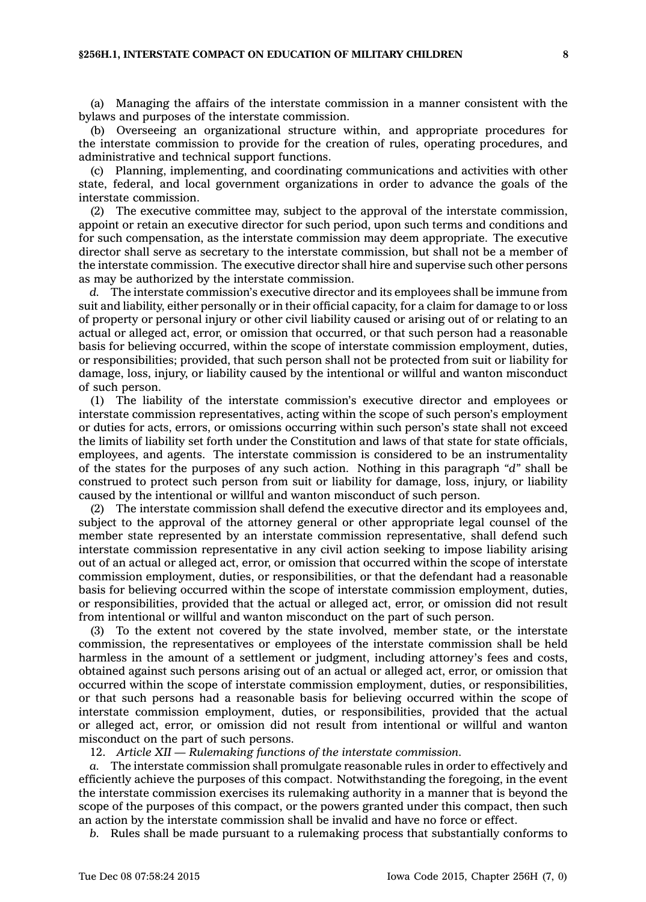(a) Managing the affairs of the interstate commission in <sup>a</sup> manner consistent with the bylaws and purposes of the interstate commission.

(b) Overseeing an organizational structure within, and appropriate procedures for the interstate commission to provide for the creation of rules, operating procedures, and administrative and technical support functions.

(c) Planning, implementing, and coordinating communications and activities with other state, federal, and local government organizations in order to advance the goals of the interstate commission.

(2) The executive committee may, subject to the approval of the interstate commission, appoint or retain an executive director for such period, upon such terms and conditions and for such compensation, as the interstate commission may deem appropriate. The executive director shall serve as secretary to the interstate commission, but shall not be <sup>a</sup> member of the interstate commission. The executive director shall hire and supervise such other persons as may be authorized by the interstate commission.

*d.* The interstate commission's executive director and its employees shall be immune from suit and liability, either personally or in their official capacity, for <sup>a</sup> claim for damage to or loss of property or personal injury or other civil liability caused or arising out of or relating to an actual or alleged act, error, or omission that occurred, or that such person had <sup>a</sup> reasonable basis for believing occurred, within the scope of interstate commission employment, duties, or responsibilities; provided, that such person shall not be protected from suit or liability for damage, loss, injury, or liability caused by the intentional or willful and wanton misconduct of such person.

(1) The liability of the interstate commission's executive director and employees or interstate commission representatives, acting within the scope of such person's employment or duties for acts, errors, or omissions occurring within such person's state shall not exceed the limits of liability set forth under the Constitution and laws of that state for state officials, employees, and agents. The interstate commission is considered to be an instrumentality of the states for the purposes of any such action. Nothing in this paragraph *"d"* shall be construed to protect such person from suit or liability for damage, loss, injury, or liability caused by the intentional or willful and wanton misconduct of such person.

(2) The interstate commission shall defend the executive director and its employees and, subject to the approval of the attorney general or other appropriate legal counsel of the member state represented by an interstate commission representative, shall defend such interstate commission representative in any civil action seeking to impose liability arising out of an actual or alleged act, error, or omission that occurred within the scope of interstate commission employment, duties, or responsibilities, or that the defendant had <sup>a</sup> reasonable basis for believing occurred within the scope of interstate commission employment, duties, or responsibilities, provided that the actual or alleged act, error, or omission did not result from intentional or willful and wanton misconduct on the part of such person.

(3) To the extent not covered by the state involved, member state, or the interstate commission, the representatives or employees of the interstate commission shall be held harmless in the amount of <sup>a</sup> settlement or judgment, including attorney's fees and costs, obtained against such persons arising out of an actual or alleged act, error, or omission that occurred within the scope of interstate commission employment, duties, or responsibilities, or that such persons had <sup>a</sup> reasonable basis for believing occurred within the scope of interstate commission employment, duties, or responsibilities, provided that the actual or alleged act, error, or omission did not result from intentional or willful and wanton misconduct on the part of such persons.

12. *Article XII —Rulemaking functions of the interstate commission.*

*a.* The interstate commission shall promulgate reasonable rules in order to effectively and efficiently achieve the purposes of this compact. Notwithstanding the foregoing, in the event the interstate commission exercises its rulemaking authority in <sup>a</sup> manner that is beyond the scope of the purposes of this compact, or the powers granted under this compact, then such an action by the interstate commission shall be invalid and have no force or effect.

*b.* Rules shall be made pursuant to <sup>a</sup> rulemaking process that substantially conforms to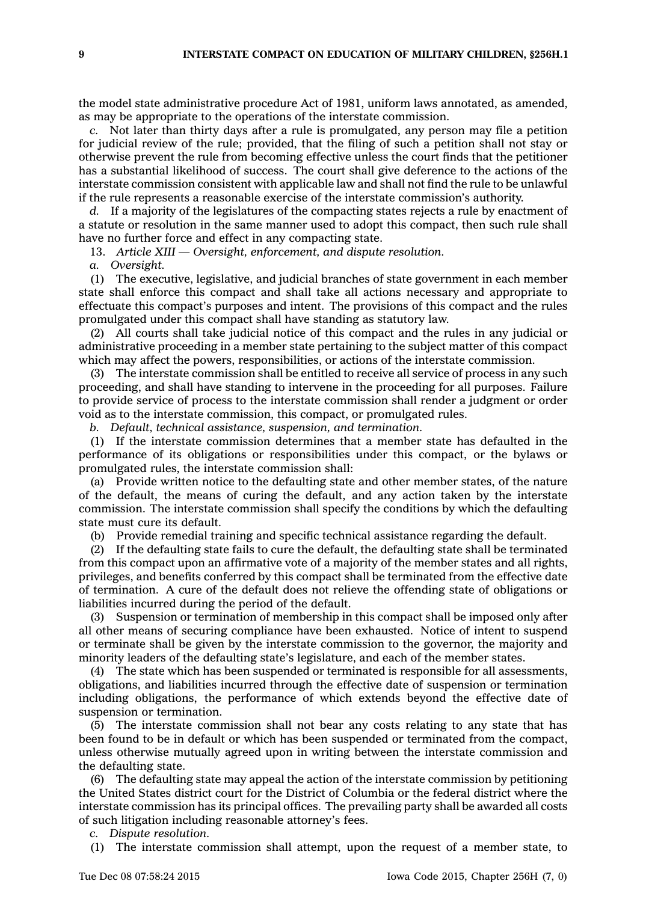the model state administrative procedure Act of 1981, uniform laws annotated, as amended, as may be appropriate to the operations of the interstate commission.

*c.* Not later than thirty days after <sup>a</sup> rule is promulgated, any person may file <sup>a</sup> petition for judicial review of the rule; provided, that the filing of such <sup>a</sup> petition shall not stay or otherwise prevent the rule from becoming effective unless the court finds that the petitioner has <sup>a</sup> substantial likelihood of success. The court shall give deference to the actions of the interstate commission consistent with applicable law and shall not find the rule to be unlawful if the rule represents <sup>a</sup> reasonable exercise of the interstate commission's authority.

*d.* If <sup>a</sup> majority of the legislatures of the compacting states rejects <sup>a</sup> rule by enactment of <sup>a</sup> statute or resolution in the same manner used to adopt this compact, then such rule shall have no further force and effect in any compacting state.

13. *Article XIII —Oversight, enforcement, and dispute resolution.*

*a. Oversight.*

(1) The executive, legislative, and judicial branches of state government in each member state shall enforce this compact and shall take all actions necessary and appropriate to effectuate this compact's purposes and intent. The provisions of this compact and the rules promulgated under this compact shall have standing as statutory law.

(2) All courts shall take judicial notice of this compact and the rules in any judicial or administrative proceeding in <sup>a</sup> member state pertaining to the subject matter of this compact which may affect the powers, responsibilities, or actions of the interstate commission.

(3) The interstate commission shall be entitled to receive all service of process in any such proceeding, and shall have standing to intervene in the proceeding for all purposes. Failure to provide service of process to the interstate commission shall render <sup>a</sup> judgment or order void as to the interstate commission, this compact, or promulgated rules.

*b. Default, technical assistance, suspension, and termination.*

(1) If the interstate commission determines that <sup>a</sup> member state has defaulted in the performance of its obligations or responsibilities under this compact, or the bylaws or promulgated rules, the interstate commission shall:

(a) Provide written notice to the defaulting state and other member states, of the nature of the default, the means of curing the default, and any action taken by the interstate commission. The interstate commission shall specify the conditions by which the defaulting state must cure its default.

(b) Provide remedial training and specific technical assistance regarding the default.

(2) If the defaulting state fails to cure the default, the defaulting state shall be terminated from this compact upon an affirmative vote of <sup>a</sup> majority of the member states and all rights, privileges, and benefits conferred by this compact shall be terminated from the effective date of termination. A cure of the default does not relieve the offending state of obligations or liabilities incurred during the period of the default.

(3) Suspension or termination of membership in this compact shall be imposed only after all other means of securing compliance have been exhausted. Notice of intent to suspend or terminate shall be given by the interstate commission to the governor, the majority and minority leaders of the defaulting state's legislature, and each of the member states.

(4) The state which has been suspended or terminated is responsible for all assessments, obligations, and liabilities incurred through the effective date of suspension or termination including obligations, the performance of which extends beyond the effective date of suspension or termination.

(5) The interstate commission shall not bear any costs relating to any state that has been found to be in default or which has been suspended or terminated from the compact, unless otherwise mutually agreed upon in writing between the interstate commission and the defaulting state.

(6) The defaulting state may appeal the action of the interstate commission by petitioning the United States district court for the District of Columbia or the federal district where the interstate commission has its principal offices. The prevailing party shall be awarded all costs of such litigation including reasonable attorney's fees.

*c. Dispute resolution.*

(1) The interstate commission shall attempt, upon the request of <sup>a</sup> member state, to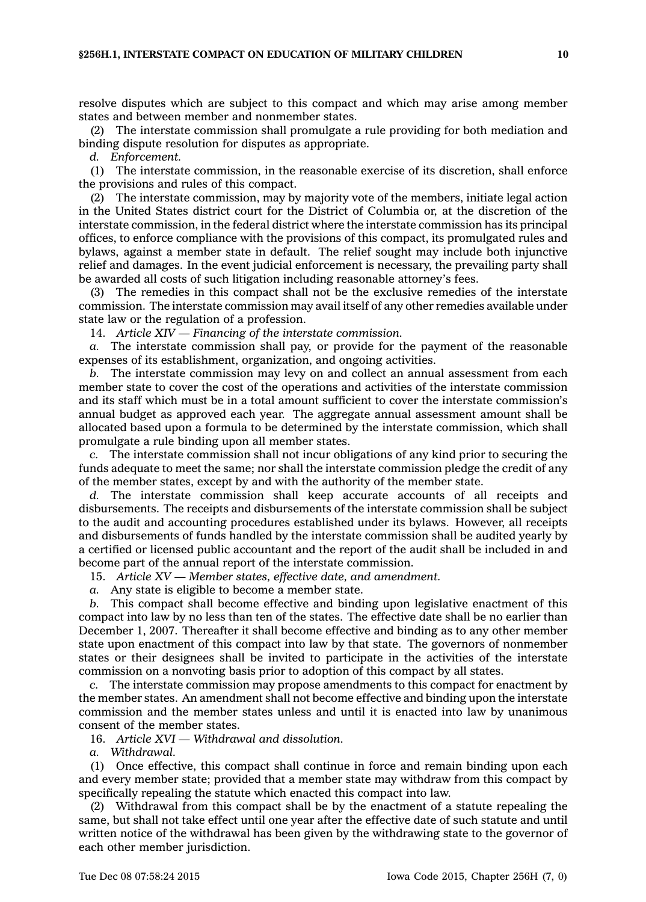resolve disputes which are subject to this compact and which may arise among member states and between member and nonmember states.

(2) The interstate commission shall promulgate <sup>a</sup> rule providing for both mediation and binding dispute resolution for disputes as appropriate.

*d. Enforcement.*

(1) The interstate commission, in the reasonable exercise of its discretion, shall enforce the provisions and rules of this compact.

(2) The interstate commission, may by majority vote of the members, initiate legal action in the United States district court for the District of Columbia or, at the discretion of the interstate commission, in the federal district where the interstate commission has its principal offices, to enforce compliance with the provisions of this compact, its promulgated rules and bylaws, against <sup>a</sup> member state in default. The relief sought may include both injunctive relief and damages. In the event judicial enforcement is necessary, the prevailing party shall be awarded all costs of such litigation including reasonable attorney's fees.

(3) The remedies in this compact shall not be the exclusive remedies of the interstate commission. The interstate commission may avail itself of any other remedies available under state law or the regulation of <sup>a</sup> profession.

14. *Article XIV — Financing of the interstate commission.*

*a.* The interstate commission shall pay, or provide for the payment of the reasonable expenses of its establishment, organization, and ongoing activities.

*b.* The interstate commission may levy on and collect an annual assessment from each member state to cover the cost of the operations and activities of the interstate commission and its staff which must be in <sup>a</sup> total amount sufficient to cover the interstate commission's annual budget as approved each year. The aggregate annual assessment amount shall be allocated based upon <sup>a</sup> formula to be determined by the interstate commission, which shall promulgate <sup>a</sup> rule binding upon all member states.

*c.* The interstate commission shall not incur obligations of any kind prior to securing the funds adequate to meet the same; nor shall the interstate commission pledge the credit of any of the member states, except by and with the authority of the member state.

*d.* The interstate commission shall keep accurate accounts of all receipts and disbursements. The receipts and disbursements of the interstate commission shall be subject to the audit and accounting procedures established under its bylaws. However, all receipts and disbursements of funds handled by the interstate commission shall be audited yearly by <sup>a</sup> certified or licensed public accountant and the report of the audit shall be included in and become part of the annual report of the interstate commission.

15. *Article XV — Member states, effective date, and amendment.*

*a.* Any state is eligible to become <sup>a</sup> member state.

*b.* This compact shall become effective and binding upon legislative enactment of this compact into law by no less than ten of the states. The effective date shall be no earlier than December 1, 2007. Thereafter it shall become effective and binding as to any other member state upon enactment of this compact into law by that state. The governors of nonmember states or their designees shall be invited to participate in the activities of the interstate commission on <sup>a</sup> nonvoting basis prior to adoption of this compact by all states.

*c.* The interstate commission may propose amendments to this compact for enactment by the member states. An amendment shall not become effective and binding upon the interstate commission and the member states unless and until it is enacted into law by unanimous consent of the member states.

16. *Article XVI — Withdrawal and dissolution.*

*a. Withdrawal.*

(1) Once effective, this compact shall continue in force and remain binding upon each and every member state; provided that <sup>a</sup> member state may withdraw from this compact by specifically repealing the statute which enacted this compact into law.

(2) Withdrawal from this compact shall be by the enactment of <sup>a</sup> statute repealing the same, but shall not take effect until one year after the effective date of such statute and until written notice of the withdrawal has been given by the withdrawing state to the governor of each other member jurisdiction.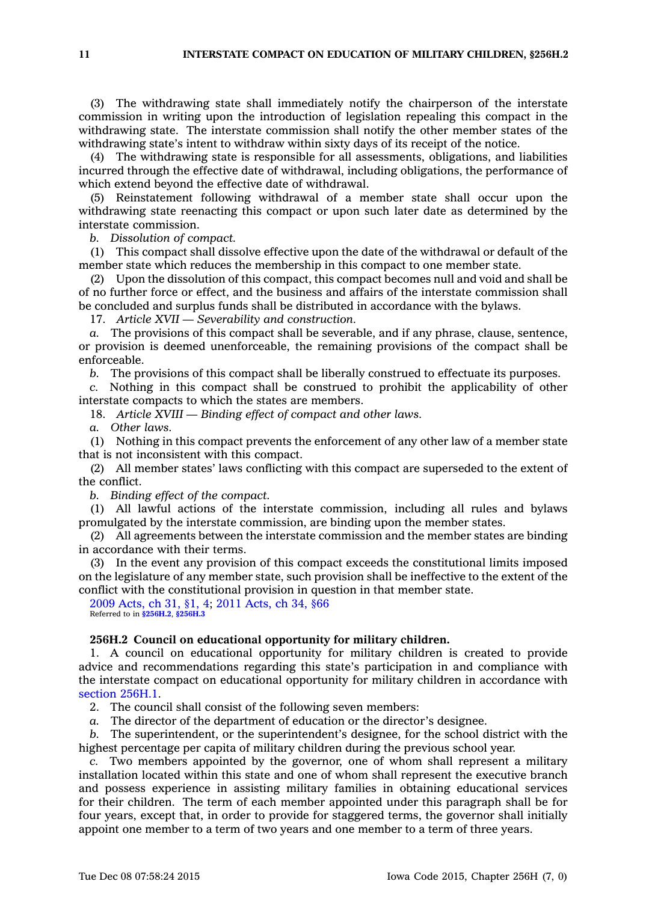(3) The withdrawing state shall immediately notify the chairperson of the interstate commission in writing upon the introduction of legislation repealing this compact in the withdrawing state. The interstate commission shall notify the other member states of the withdrawing state's intent to withdraw within sixty days of its receipt of the notice.

(4) The withdrawing state is responsible for all assessments, obligations, and liabilities incurred through the effective date of withdrawal, including obligations, the performance of which extend beyond the effective date of withdrawal.

(5) Reinstatement following withdrawal of <sup>a</sup> member state shall occur upon the withdrawing state reenacting this compact or upon such later date as determined by the interstate commission.

*b. Dissolution of compact.*

(1) This compact shall dissolve effective upon the date of the withdrawal or default of the member state which reduces the membership in this compact to one member state.

(2) Upon the dissolution of this compact, this compact becomes null and void and shall be of no further force or effect, and the business and affairs of the interstate commission shall be concluded and surplus funds shall be distributed in accordance with the bylaws.

17. *Article XVII —Severability and construction.*

The provisions of this compact shall be severable, and if any phrase, clause, sentence, or provision is deemed unenforceable, the remaining provisions of the compact shall be enforceable.

*b.* The provisions of this compact shall be liberally construed to effectuate its purposes.

*c.* Nothing in this compact shall be construed to prohibit the applicability of other interstate compacts to which the states are members.

18. *Article XVIII —Binding effect of compact and other laws.*

*a. Other laws.*

(1) Nothing in this compact prevents the enforcement of any other law of <sup>a</sup> member state that is not inconsistent with this compact.

(2) All member states' laws conflicting with this compact are superseded to the extent of the conflict.

*b. Binding effect of the compact.*

(1) All lawful actions of the interstate commission, including all rules and bylaws promulgated by the interstate commission, are binding upon the member states.

(2) All agreements between the interstate commission and the member states are binding in accordance with their terms.

(3) In the event any provision of this compact exceeds the constitutional limits imposed on the legislature of any member state, such provision shall be ineffective to the extent of the conflict with the constitutional provision in question in that member state.

2009 [Acts,](https://www.legis.iowa.gov/docs/acts/2009/CH0031.pdf) ch 31, §1, 4; 2011 [Acts,](https://www.legis.iowa.gov/docs/acts/2011/CH0034.pdf) ch 34, §66 Referred to in **[§256H.2](https://www.legis.iowa.gov/docs/code/256H.2.pdf)**, **[§256H.3](https://www.legis.iowa.gov/docs/code/256H.3.pdf)**

### **256H.2 Council on educational opportunity for military children.**

1. A council on educational opportunity for military children is created to provide advice and recommendations regarding this state's participation in and compliance with the interstate compact on educational opportunity for military children in accordance with section [256H.1](https://www.legis.iowa.gov/docs/code//256H.1.pdf).

2. The council shall consist of the following seven members:

*a.* The director of the department of education or the director's designee.

*b.* The superintendent, or the superintendent's designee, for the school district with the highest percentage per capita of military children during the previous school year.

*c.* Two members appointed by the governor, one of whom shall represent <sup>a</sup> military installation located within this state and one of whom shall represent the executive branch and possess experience in assisting military families in obtaining educational services for their children. The term of each member appointed under this paragraph shall be for four years, except that, in order to provide for staggered terms, the governor shall initially appoint one member to <sup>a</sup> term of two years and one member to <sup>a</sup> term of three years.